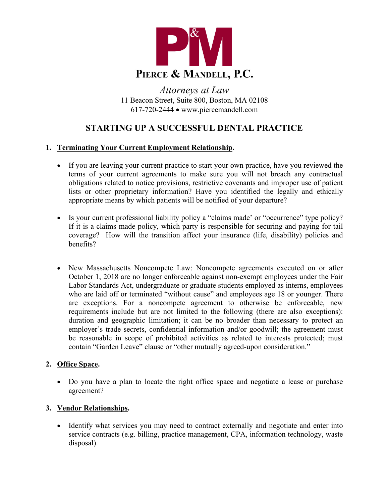

*Attorneys at Law* 11 Beacon Street, Suite 800, Boston, MA 02108 617-720-2444 • www.piercemandell.com

# **STARTING UP A SUCCESSFUL DENTAL PRACTICE**

# **1. Terminating Your Current Employment Relationship.**

- If you are leaving your current practice to start your own practice, have you reviewed the terms of your current agreements to make sure you will not breach any contractual obligations related to notice provisions, restrictive covenants and improper use of patient lists or other proprietary information? Have you identified the legally and ethically appropriate means by which patients will be notified of your departure?
- Is your current professional liability policy a "claims made' or "occurrence" type policy? If it is a claims made policy, which party is responsible for securing and paying for tail coverage? How will the transition affect your insurance (life, disability) policies and benefits?
- New Massachusetts Noncompete Law: Noncompete agreements executed on or after October 1, 2018 are no longer enforceable against non-exempt employees under the Fair Labor Standards Act, undergraduate or graduate students employed as interns, employees who are laid off or terminated "without cause" and employees age 18 or younger. There are exceptions. For a noncompete agreement to otherwise be enforceable, new requirements include but are not limited to the following (there are also exceptions): duration and geographic limitation; it can be no broader than necessary to protect an employer's trade secrets, confidential information and/or goodwill; the agreement must be reasonable in scope of prohibited activities as related to interests protected; must contain "Garden Leave" clause or "other mutually agreed-upon consideration."

#### **2. Office Space.**

• Do you have a plan to locate the right office space and negotiate a lease or purchase agreement?

# **3. Vendor Relationships.**

• Identify what services you may need to contract externally and negotiate and enter into service contracts (e.g. billing, practice management, CPA, information technology, waste disposal).